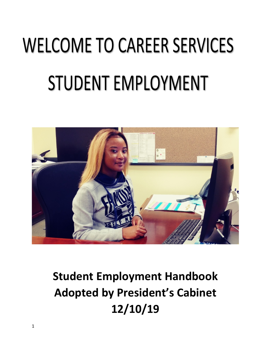# **WELCOME TO CAREER SERVICES STUDENT EMPLOYMENT**



# **Student Employment Handbook Adopted by President's Cabinet 12/10/19**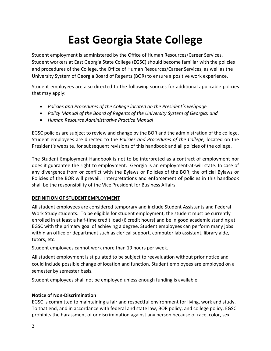# **East Georgia State College**

Student employment is administered by the Office of Human Resources/Career Services. Student workers at East Georgia State College (EGSC) should become familiar with the policies and procedures of the College, the Office of Human Resources/Career Services, as well as the University System of Georgia Board of Regents (BOR) to ensure a positive work experience.

Student employees are also directed to the following sources for additional applicable policies that may apply:

- *Policies and Procedures of the College located on the President's webpage*
- *Policy Manual of the Board of Regents of the University System of Georgia; and*
- *Human Resource Administrative Practice Manual*

EGSC policies are subject to review and change by the BOR and the administration of the college. Student employees are directed to the *Policies and Procedures of the College,* located on the President's website, for subsequent revisions of this handbook and all policies of the college.

The Student Employment Handbook is not to be interpreted as a contract of employment nor does it guarantee the right to employment. Georgia is an employment-at-will state. In case of any divergence from or conflict with the Bylaws or Policies of the BOR, the official Bylaws or Policies of the BOR will prevail. Interpretations and enforcement of policies in this handbook shall be the responsibility of the Vice President for Business Affairs.

# **DEFINITION OF STUDENT EMPLOYMENT**

All student employees are considered temporary and include Student Assistants and Federal Work Study students. To be eligible for student employment, the student must be currently enrolled in at least a half-time credit load (6 credit hours) and be in good academic standing at EGSC with the primary goal of achieving a degree. Student employees can perform many jobs within an office or department such as clerical support, computer lab assistant, library aide, tutors, etc.

Student employees cannot work more than 19 hours per week.

All student employment is stipulated to be subject to reevaluation without prior notice and could include possible change of location and function. Student employees are employed on a semester by semester basis.

Student employees shall not be employed unless enough funding is available.

# **Notice of Non-Discrimination**

EGSC is committed to maintaining a fair and respectful environment for living, work and study. To that end, and in accordance with federal and state law, BOR policy, and college policy, EGSC prohibits the harassment of or discrimination against any person because of race, color, sex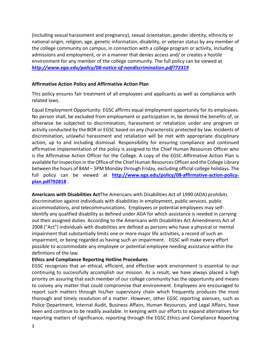(including sexual harassment and pregnancy), sexual orientation, gender identity, ethnicity or national origin, religion, age, genetic information, disability, or veteran status by any member of the college community on campus, in connection with a college program or activity, including admissions and employment, or in a manner that denies access and/ or creates a hostile environment for any member of the college community. The full policy can be viewed at *<http://www.ega.edu/policy/08-notice-of-nondiscrimination.pdf?72319>*

# **Affirmative Action Policy and Affirmative Action Plan**

This policy ensures fair treatment of all employees and applicants as well as compliance with related laws.

Equal Employment Opportunity: EGSC affirms equal employment opportunity for its employees. No person shall, be excluded from employment or participation in, be denied the benefits of, or otherwise be subjected to discrimination, harassment or retaliation under any program or activity conducted by the BOR or EGSC based on any characteristic protected by law. Incidents of discrimination, unlawful harassment and retaliation will be met with appropriate disciplinary action, up to and including dismissal. Responsibility for ensuring compliance and continued affirmative implementation of the policy is assigned to the Chief Human Resources Officer who is the Affirmative Action Officer for the College. A copy of the EGSC Affirmative Action Plan is available for inspection in the Office of the Chief Human Resources Officer and the College Library between the hours of 8AM – 5PM Monday through Friday, excluding official college holidays. The full policy can be viewed at **[http://www.ega.edu/policy/08-affirmative-action-policy](http://www.ega.edu/policy/08-affirmative-action-policy-plan.pdf?92818)[plan.pdf?92818](http://www.ega.edu/policy/08-affirmative-action-policy-plan.pdf?92818)** .

**Americans with Disabilities Act**The Americans with Disabilities Act of 1990 (ADA) prohibits discrimination against individuals with disabilities in employment, public services, public accommodations, and telecommunications. Employees or potential employees may selfidentify any qualified disability as defined under ADA for which assistance is needed in carrying out their assigned duties. According to the Americans with Disabilities Act Amendments Act of 2008 ("Act") individuals with disabilities are defined as persons who have a physical or mental impairment that substantially limits one or more major life activities, a record of such an impairment, or being regarded as having such an impairment. EGSC will make every effort possible to accommodate any employee or potential employee needing assistance within the definitions of the law.

#### **Ethics and Compliance Reporting Hotline Procedures**

EGSC recognizes that an ethical, efficient, and effective work environment is essential to our continuing to successfully accomplish our mission. As a result, we have always placed a high priority on assuring that each member of our college community has the opportunity and means to convey any matter that could compromise that environment. Employees are encouraged to report such matters through his/her supervisory chain which frequently produces the most thorough and timely resolution of a matter. However, other EGSC reporting avenues, such as Police Department, Internal Audit, Business Affairs, Human Resources, and Legal Affairs, have been and continue to be readily available. In keeping with our efforts to expand alternatives for reporting matters of significance, reporting through the EGSC Ethics and Compliance Reporting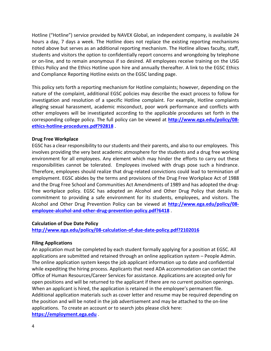Hotline ("Hotline") service provided by NAVEX Global, an independent company, is available 24 hours a day, 7 days a week. The Hotline does not replace the existing reporting mechanisms noted above but serves as an additional reporting mechanism. The Hotline allows faculty, staff, students and visitors the option to confidentially report concerns and wrongdoing by telephone or on-line, and to remain anonymous if so desired. All employees receive training on the USG Ethics Policy and the Ethics Hotline upon hire and annually thereafter. A link to the EGSC Ethics and Compliance Reporting Hotline exists on the EGSC landing page.

This policy sets forth a reporting mechanism for Hotline complaints; however, depending on the nature of the complaint, additional EGSC policies may describe the exact process to follow for investigation and resolution of a specific Hotline complaint. For example, Hotline complaints alleging sexual harassment, academic misconduct, poor work performance and conflicts with other employees will be investigated according to the applicable procedures set forth in the corresponding college policy. The full policy can be viewed at **[http://www.ega.edu/policy/08](http://www.ega.edu/policy/08-ethics-hotline-procedures.pdf?92818) [ethics-hotline-procedures.pdf?92818](http://www.ega.edu/policy/08-ethics-hotline-procedures.pdf?92818)** .

#### **Drug Free Workplace**

EGSC has a clear responsibility to our students and their parents, and also to our employees. This involves providing the very best academic atmosphere for the students and a drug free working environment for all employees. Any element which may hinder the efforts to carry out these responsibilities cannot be tolerated. Employees involved with drugs pose such a hindrance. Therefore, employees should realize that drug-related convictions could lead to termination of employment. EGSC abides by the terms and provisions of the Drug Free Workplace Act of 1988 and the Drug Free School and Communities Act Amendments of 1989 and has adopted the drugfree workplace policy. EGSC has adopted an Alcohol and Other Drug Policy that details its commitment to providing a safe environment for its students, employees, and visitors. The Alcohol and Other Drug Prevention Policy can be viewed at **[http://www.ega.edu/policy/08](http://www.ega.edu/policy/08-employee-alcohol-and-other-drug-prevention-policy.pdf?6418) [employee-alcohol-and-other-drug-prevention-policy.pdf?6418](http://www.ega.edu/policy/08-employee-alcohol-and-other-drug-prevention-policy.pdf?6418)** .

#### **Calculation of Due Date Policy**

**<http://www.ega.edu/policy/08-calculation-of-due-date-policy.pdf?2102016>**

#### **Filing Applications**

An application must be completed by each student formally applying for a position at EGSC. All applications are submitted and retained through an online application system – People Admin. The online application system keeps the job applicant information up to date and confidential while expediting the hiring process. Applicants that need ADA accommodation can contact the Office of Human Resources/Career Services for assistance. Applications are accepted only for open positions and will be returned to the applicant if there are no current position openings. When an applicant is hired, the application is retained in the employee's permanent file. Additional application materials such as cover letter and resume may be required depending on the position and will be noted in the job advertisement and may be attached to the on-line applications. To create an account or to search jobs please click here: **[https://employment.ega.edu](https://employment.ega.edu/)** .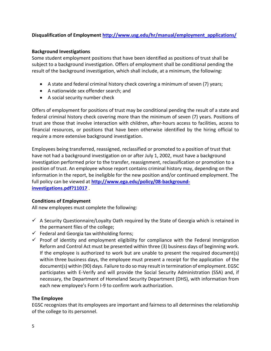# **Disqualification of Employment [http://www.usg.edu/hr/manual/employment\\_applications/](http://www.usg.edu/hr/manual/employment_applications/)**

#### **Background Investigations**

Some student employment positions that have been identified as positions of trust shall be subject to a background investigation. Offers of employment shall be conditional pending the result of the background investigation, which shall include, at a minimum, the following:

- A state and federal criminal history check covering a minimum of seven (7) years;
- A nationwide sex offender search; and
- A social security number check

Offers of employment for positions of trust may be conditional pending the result of a state and federal criminal history check covering more than the minimum of seven (7) years. Positions of trust are those that involve interaction with children, after-hours access to facilities, access to financial resources, or positions that have been otherwise identified by the hiring official to require a more extensive background investigation.

Employees being transferred, reassigned, reclassified or promoted to a position of trust that have not had a background investigation on or after July 1, 2002, must have a background investigation performed prior to the transfer, reassignment, reclassification or promotion to a position of trust. An employee whose report contains criminal history may, depending on the information in the report, be ineligible for the new position and/or continued employment. The full policy can be viewed at **[http://www.ega.edu/policy/08-background](http://www.ega.edu/policy/08-background-investigations.pdf?11017)[investigations.pdf?11017](http://www.ega.edu/policy/08-background-investigations.pdf?11017)** .

# **Conditions of Employment**

All new employees must complete the following:

- $\checkmark$  A Security Questionnaire/Loyalty Oath required by the State of Georgia which is retained in the permanent files of the college;
- $\checkmark$  Federal and Georgia tax withholding forms;
- $\checkmark$  Proof of identity and employment eligibility for compliance with the Federal Immigration Reform and Control Act must be presented within three (3) business days of beginning work. If the employee is authorized to work but are unable to present the required document(s) within three business days, the employee must present a receipt for the application of the document(s) within (90) days. Failure to do so may result in termination of employment. EGSC participates with E-Verify and will provide the Social Security Administration (SSA) and, if necessary, the Department of Homeland Security Department (DHS), with information from each new employee's Form I-9 to confirm work authorization.

# **The Employee**

EGSC recognizes that its employees are important and fairness to all determines the relationship of the college to its personnel.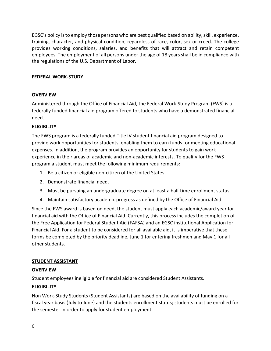EGSC's policy is to employ those persons who are best qualified based on ability, skill, experience, training, character, and physical condition, regardless of race, color, sex or creed. The college provides working conditions, salaries, and benefits that will attract and retain competent employees. The employment of all persons under the age of 18 years shall be in compliance with the regulations of the U.S. Department of Labor.

# **FEDERAL WORK-STUDY**

# **OVERVIEW**

Administered through the Office of Financial Aid, the Federal Work-Study Program (FWS) is a federally funded financial aid program offered to students who have a demonstrated financial need.

# **ELIGIBILITY**

The FWS program is a federally funded Title IV student financial aid program designed to provide work opportunities for students, enabling them to earn funds for meeting educational expenses. In addition, the program provides an opportunity for students to gain work experience in their areas of academic and non-academic interests. To qualify for the FWS program a student must meet the following minimum requirements:

- 1. Be a citizen or eligible non-citizen of the United States.
- 2. Demonstrate financial need.
- 3. Must be pursuing an undergraduate degree on at least a half time enrollment status.
- 4. Maintain satisfactory academic progress as defined by the Office of Financial Aid.

Since the FWS award is based on need, the student must apply each academic/award year for financial aid with the Office of Financial Aid. Currently, this process includes the completion of the Free Application for Federal Student Aid (FAFSA) and an EGSC institutional Application for Financial Aid. For a student to be considered for all available aid, it is imperative that these forms be completed by the priority deadline, June 1 for entering freshmen and May 1 for all other students.

#### **STUDENT ASSISTANT**

#### **OVERVIEW**

Student employees ineligible for financial aid are considered Student Assistants.

#### **ELIGIBILITY**

Non Work-Study Students (Student Assistants) are based on the availability of funding on a fiscal year basis (July to June) and the students enrollment status; students must be enrolled for the semester in order to apply for student employment.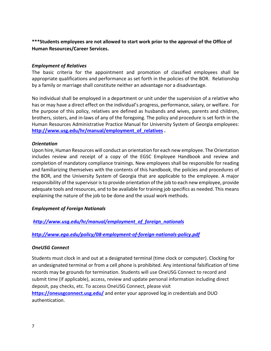**\*\*\*Students employees are not allowed to start work prior to the approval of the Office of Human Resources/Career Services.**

#### *Employment of Relatives*

The basic criteria for the appointment and promotion of classified employees shall be appropriate qualifications and performance as set forth in the policies of the BOR. Relationship by a family or marriage shall constitute neither an advantage nor a disadvantage.

No individual shall be employed in a department or unit under the supervision of a relative who has or may have a direct effect on the individual's progress, performance, salary, or welfare. For the purpose of this policy, relatives are defined as husbands and wives, parents and children, brothers, sisters, and in-laws of any of the foregoing. The policy and procedure is set forth in the Human Resources Administrative Practice Manual for University System of Georgia employees: **[http://www.usg.edu/hr/manual/employment\\_of\\_relatives](http://www.usg.edu/hr/manual/employment_of_relatives) .**

# *Orientation*

Upon hire, Human Resources will conduct an orientation for each new employee. The Orientation includes review and receipt of a copy of the EGSC Employee Handbook and review and completion of mandatory compliance trainings. New employees shall be responsible for reading and familiarizing themselves with the contents of this handbook, the policies and procedures of the BOR, and the University System of Georgia that are applicable to the employee. A major responsibility of the supervisor is to provide orientation of the job to each new employee, provide adequate tools and resources, and to be available for training job specifics as needed. This means explaining the nature of the job to be done and the usual work methods.

# *Employment of Foreign Nationals*

*[http://www.usg.edu/hr/manual/employment\\_of\\_foreign\\_nationals](http://www.usg.edu/hr/manual/employment_of_foreign_nationals)*

# *<http://www.ega.edu/policy/08-employment-of-foreign-nationals-policy.pdf>*

# *OneUSG Connect*

Students must clock in and out at a designated terminal (time clock or computer). Clocking for an undesignated terminal or from a cell phone is prohibited. Any intentional falsification of time records may be grounds for termination. Students will use OneUSG Connect to record and submit time (if applicable), access, review and update personal information including direct deposit, pay checks, etc. To access OneUSG Connect, please visit **<https://oneusgconnect.usg.edu/>** and enter your approved log in credentials and DUO authentication.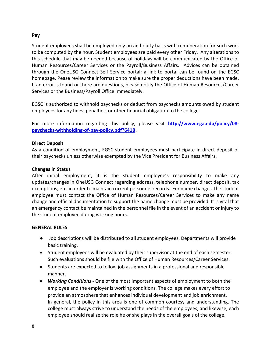#### **Pay**

Student employees shall be employed only on an hourly basis with remuneration for such work to be computed by the hour. Student employees are paid every other Friday. Any alterations to this schedule that may be needed because of holidays will be communicated by the Office of Human Resources/Career Services or the Payroll/Business Affairs. Advices can be obtained through the OneUSG Connect Self Service portal; a link to portal can be found on the EGSC homepage. Pease review the information to make sure the proper deductions have been made. If an error is found or there are questions, please notify the Office of Human Resources/Career Services or the Business/Payroll Office immediately.

EGSC is authorized to withhold paychecks or deduct from paychecks amounts owed by student employees for any fines, penalties, or other financial obligation to the college.

For more information regarding this policy, please visit **[http://www.ega.edu/policy/08](http://www.ega.edu/policy/08-paychecks-withholding-of-pay-policy.pdf?6418) [paychecks-withholding-of-pay-policy.pdf?6418](http://www.ega.edu/policy/08-paychecks-withholding-of-pay-policy.pdf?6418) .** 

# **Direct Deposit**

As a condition of employment, EGSC student employees must participate in direct deposit of their paychecks unless otherwise exempted by the Vice President for Business Affairs.

#### **Changes in Status**

After initial employment, it is the student employee's responsibility to make any updates/changes in OneUSG Connect regarding address, telephone number, direct deposit, tax exemptions, etc. in order to maintain current personnel records. For name changes, the student employee must contact the Office of Human Resources/Career Services to make any name change and official documentation to support the name change must be provided. It is vital that an emergency contact be maintained in the personnel file in the event of an accident or injury to the student employee during working hours.

#### **GENERAL RULES**

- Job descriptions will be distributed to all student employees. Departments will provide basic training.
- Student employees will be evaluated by their supervisor at the end of each semester. Such evaluations should be file with the Office of Human Resources/Career Services.
- Students are expected to follow job assignments in a professional and responsible manner.
- *Working Conditions -* One of the most important aspects of employment to both the employee and the employer is working conditions. The college makes every effort to provide an atmosphere that enhances individual development and job enrichment. In general, the policy in this area is one of common courtesy and understanding. The college must always strive to understand the needs of the employees, and likewise, each employee should realize the role he or she plays in the overall goals of the college.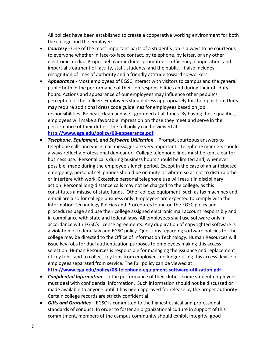All policies have been established to create a cooperative working environment for both the college and the employee.

- *Courtesy* One of the most important parts of a student's job is always to be courteous to everyone whether in face-to-face contact, by telephone, by letter, or any other electronic media. Proper behavior includes promptness, efficiency, cooperation, and impartial treatment of faculty, staff, students, and the public. It also includes recognition of lines of authority and a friendly attitude toward co-workers.
- *Appearance -* Most employees of EGSC interact with visitors to campus and the general public both in the performance of their job responsibilities and during their off-duty hours. Actions and appearance of our employees may influence other people's perception of the college. Employees should dress appropriately for their position. Units may require additional dress code guidelines for employees based on job responsibilities. Be neat, clean and well-groomed at all times. By having these qualities, employees will make a favorable impression on those they meet and serve in the performance of their duties. The full policy can be viewed at **<http://www.ega.edu/policy/08-appearance.pdf>**
- *Telephone, Equipment, and Software Utilization –* Prompt, courteous answers to telephone calls and voice mail messages are very important. Telephone manners should always reflect a professional demeanor. College telephone lines must be kept clear for business use. Personal calls during business hours should be limited and, whenever possible, made during the employee's lunch period. Except in the case of an anticipated emergency, personal cell phones should be on mute or vibrate so as not to disturb other or interfere with work. Excessive personal telephone use will result in disciplinary action. Personal long-distance calls may not be charged to the college, as this constitutes a misuse of state funds. Other college equipment, such as fax machines and e-mail are also for college business only. Employees are expected to comply with the Information Technology Policies and Procedures found on the EGSC policy and procedures page and use their college assigned electronic mail account responsibly and in compliance with state and federal laws. All employees shall use software only in accordance with EGSC's license agreements. Any duplication of copyrighted software is a violation of federal law and EGSC policy. Questions regarding software policies for the college may be directed to the Office of Information Technology. Human Resources will issue key fobs for dual authentication purposes to employees making this access selection. Human Resources is responsible for managing the issuance and replacement of key fobs, and to collect key fobs from employees no longer using this access device or employees separated from service. The full policy can be viewed at **<http://www.ega.edu/policy/08-telephone-equipment-software-utilization.pdf>**
- *Confidential Information* In the performance of their duties, some student employees must deal with confidential information. Such information should not be discussed or made available to anyone until it has been approved for release by the proper authority. Certain college records are strictly confidential.
- *Gifts and Gratuities* EGSC is committed to the highest ethical and professional standards of conduct. In order to foster an organizational culture in support of this commitment, members of the campus community should exhibit integrity, good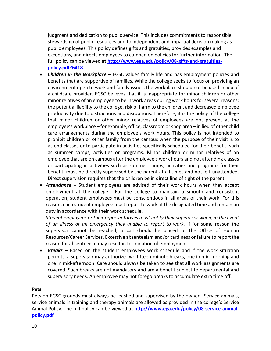judgment and dedication to public service. This includes commitments to responsible stewardship of public resources and to independent and impartial decision making as public employees. This policy defines gifts and gratuities, provides examples and exceptions, and directs employees to companion policies for further information. The full policy can be viewed **at [http://www.ega.edu/policy/08-gifts-and-gratuities](http://www.ega.edu/policy/08-gifts-and-gratuities-policy.pdf?6418)[policy.pdf?6418](http://www.ega.edu/policy/08-gifts-and-gratuities-policy.pdf?6418)** .

- *Children in the Workplace –* EGSC values family life and has employment policies and benefits that are supportive of families. While the college seeks to focus on providing an environment open to work and family issues, the workplace should not be used in lieu of a childcare provider. EGSC believes that it is inappropriate for minor children or other minor relatives of an employee to be in work areas during work hours for several reasons: the potential liability to the college, risk of harm to the children, and decreased employee productivity due to distractions and disruptions. Therefore, it is the policy of the college that minor children or other minor relatives of employees are not present at the employee's workplace – for example, office, classroom or shop area – in lieu of other child care arrangements during the employee's work hours. This policy is not intended to prohibit children or other family from the campus when the purpose of their visit is to attend classes or to participate in activities specifically scheduled for their benefit, such as summer camps, activities or programs. Minor children or minor relatives of an employee that are on campus after the employee's work hours and not attending classes or participating in activities such as summer camps, activities and programs for their benefit, must be directly supervised by the parent at all times and not left unattended. Direct supervision requires that the children be in direct line of sight of the parent.
- *Attendance –* Student employees are advised of their work hours when they accept employment at the college. For the college to maintain a smooth and consistent operation, student employees must be conscientious in all areas of their work. For this reason, each student employee must report to work at the designated time and remain on duty in accordance with their work schedule.

*Student employees or their representatives must notify their supervisor when, in the event of an illness or an emergency they unable to report to work.* If for some reason the supervisor cannot be reached, a call should be placed to the Office of Human Resources/Career Services. Excessive absenteeism and/or tardiness or failure to report the reason for absenteeism may result in termination of employment.

• *Breaks –* Based on the student employees work schedule and if the work situation permits, a supervisor may authorize two fifteen-minute breaks, one in mid-morning and one in mid-afternoon. Care should always be taken to see that all work assignments are covered. Such breaks are not mandatory and are a benefit subject to departmental and supervisory needs. An employee may not forego breaks to accumulate extra time off.

#### **Pets**

Pets on EGSC grounds must always be leashed and supervised by the owner . Service animals, service animals in training and therapy animals are allowed as provided in the college's Service Animal Policy. The full policy can be viewed at **[http://www.ega.edu/policy/08-service-animal](http://www.ega.edu/policy/08-service-animal-policy.pdf)[policy.pdf](http://www.ega.edu/policy/08-service-animal-policy.pdf)**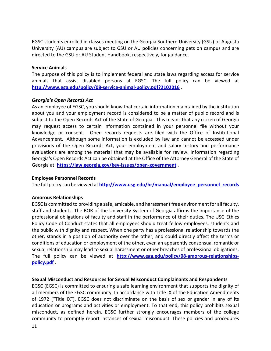EGSC students enrolled in classes meeting on the Georgia Southern University (GSU) or Augusta University (AU) campus are subject to GSU or AU policies concerning pets on campus and are directed to the GSU or AU Student Handbook, respectively, for guidance.

#### **Service Animals**

The purpose of this policy is to implement federal and state laws regarding access for service animals that assist disabled persons at EGSC. The full policy can be viewed at **<http://www.ega.edu/policy/08-service-animal-policy.pdf?2102016>** .

#### *Georgia's Open Records Act*

As an employee of EGSC, you should know that certain information maintained by the institution about you and your employment record is considered to be a matter of public record and is subject to the Open Records Act of the State of Georgia. This means that any citizen of Georgia may request access to certain information contained in your personnel file without your knowledge or consent. Open records requests are filed with the Office of Institutional Advancement. Although some information is excluded by law and cannot be accessed under provisions of the Open Records Act, your employment and salary history and performance evaluations are among the material that may be available for review. Information regarding Georgia's Open Records Act can be obtained at the Office of the Attorney General of the State of Georgia at: **<https://law.georgia.gov/key-issues/open-government>** .

#### **Employee Personnel Records**

The full policy can be viewed at **[http://www.usg.edu/hr/manual/employee\\_personnel\\_records](http://www.usg.edu/hr/manual/employee_personnel_records)**

#### **Amorous Relationships**

EGSC is committed to providing a safe, amicable, and harassment free environment for all faculty, staff and students. The BOR of the University System of Georgia affirms the importance of the professional obligations of faculty and staff in the performance of their duties. The USG Ethics Policy Code of Conduct states that all employees should treat fellow employees, students and the public with dignity and respect. When one party has a professional relationship towards the other, stands in a position of authority over the other, and could directly affect the terms or conditions of education or employment of the other, even an apparently consensual romantic or sexual relationship may lead to sexual harassment or other breaches of professional obligations. The full policy can be viewed at **[http://www.ega.edu/policy/08-amorous-relationships](http://www.ega.edu/policy/08-amorous-relationships-policy.pdf)[policy.pdf](http://www.ega.edu/policy/08-amorous-relationships-policy.pdf)** .

#### **Sexual Misconduct and Resources for Sexual Misconduct Complainants and Respondents**

EGSC (EGSC) is committed to ensuring a safe learning environment that supports the dignity of all members of the EGSC community. In accordance with Title IX of the Education Amendments of 1972 ("Title IX"), EGSC does not discriminate on the basis of sex or gender in any of its education or programs and activities or employment. To that end, this policy prohibits sexual misconduct, as defined herein. EGSC further strongly encourages members of the college community to promptly report instances of sexual misconduct. These policies and procedures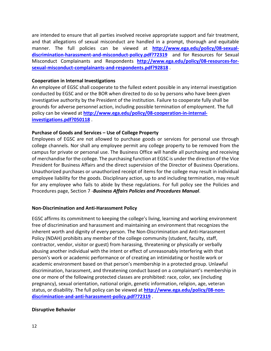are intended to ensure that all parties involved receive appropriate support and fair treatment, and that allegations of sexual misconduct are handled in a prompt, thorough and equitable manner. The full policies can be viewed at **[http://www.ega.edu/policy/08-sexual](http://www.ega.edu/policy/08-sexual-discrimination-harassment-and-misconduct-policy.pdf?72319)[discrimination-harassment-and-misconduct-policy.pdf?72319](http://www.ega.edu/policy/08-sexual-discrimination-harassment-and-misconduct-policy.pdf?72319)** and for Resources for Sexual Misconduct Complainants and Respondents **[http://www.ega.edu/policy/08-resources-for](http://www.ega.edu/policy/08-resources-for-sexual-misconduct-complainants-and-respondents.pdf?92818)[sexual-misconduct-complainants-and-respondents.pdf?92818](http://www.ega.edu/policy/08-resources-for-sexual-misconduct-complainants-and-respondents.pdf?92818)** .

#### **Cooperation in Internal Investigations**

An employee of EGSC shall cooperate to the fullest extent possible in any internal investigation conducted by EGSC and or the BOR when directed to do so by persons who have been given investigative authority by the President of the institution. Failure to cooperate fully shall be grounds for adverse personnel action, including possible termination of employment. The full policy can be viewed at **[http://www.ega.edu/policy/08-cooperation-in-internal](http://www.ega.edu/policy/08-cooperation-in-internal-investigations.pdf?050118)[investigations.pdf?050118](http://www.ega.edu/policy/08-cooperation-in-internal-investigations.pdf?050118)** .

#### **Purchase of Goods and Services – Use of College Property**

Employees of EGSC are not allowed to purchase goods or services for personal use through college channels. Nor shall any employee permit any college property to be removed from the campus for private or personal use. The Business Office will handle all purchasing and receiving of merchandise for the college. The purchasing function at EGSC is under the direction of the Vice President for Business Affairs and the direct supervision of the Director of Business Operations. Unauthorized purchases or unauthorized receipt of items for the college may result in individual employee liability for the goods. Disciplinary action, up to and including termination, may result for any employee who fails to abide by these regulations. For full policy see the Policies and Procedures page, Section 7 -*Business Affairs Policies and Procedures Manual*.

#### **Non-Discrimination and Anti-Harassment Policy**

EGSC affirms its commitment to keeping the college's living, learning and working environment free of discrimination and harassment and maintaining an environment that recognizes the inherent worth and dignity of every person. The Non-Discrimination and Anti-Harassment Policy (NDAH) prohibits any member of the college community (student, faculty, staff, contractor, vendor, visitor or guest) from harassing, threatening or physically or verbally abusing another individual with the intent or effect of unreasonably interfering with that person's work or academic performance or of creating an intimidating or hostile work or academic environment based on that person's membership in a protected group. Unlawful discrimination, harassment, and threatening conduct based on a complainant's membership in one or more of the following protected classes are prohibited: race, color, sex (including pregnancy), sexual orientation, national origin, genetic information, religion, age, veteran status, or disability. The full policy can be viewed at **[http://www.ega.edu/policy/08-non](http://www.ega.edu/policy/08-non-discrimination-and-anti-harassment-policy.pdf?72319)[discrimination-and-anti-harassment-policy.pdf?72319](http://www.ega.edu/policy/08-non-discrimination-and-anti-harassment-policy.pdf?72319)** .

#### **Disruptive Behavior**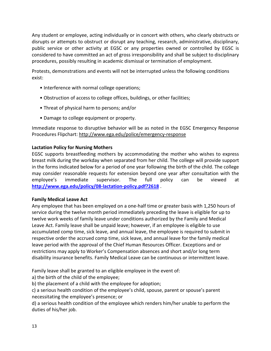Any student or employee, acting individually or in concert with others, who clearly obstructs or disrupts or attempts to obstruct or disrupt any teaching, research, administrative, disciplinary, public service or other activity at EGSC or any properties owned or controlled by EGSC is considered to have committed an act of gross irresponsibility and shall be subject to disciplinary procedures, possibly resulting in academic dismissal or termination of employment.

Protests, demonstrations and events will not be interrupted unless the following conditions exist:

- Interference with normal college operations;
- Obstruction of access to college offices, buildings, or other facilities;
- Threat of physical harm to persons; and/or
- Damage to college equipment or property.

Immediate response to disruptive behavior will be as noted in the EGSC Emergency Response Procedures Flipchart: http://www.ega.edu/police/emergency-response

# **Lactation Policy for Nursing Mothers**

EGSC supports breastfeeding mothers by accommodating the mother who wishes to express breast milk during the workday when separated from her child. The college will provide support in the forms indicated below for a period of one year following the birth of the child. The college may consider reasonable requests for extension beyond one year after consultation with the employee's immediate supervisor. The full policy can be viewed at **<http://www.ega.edu/policy/08-lactation-policy.pdf?2618>** .

#### **Family Medical Leave Act**

Any employee that has been employed on a one-half time or greater basis with 1,250 hours of service during the twelve month period immediately preceding the leave is eligible for up to twelve work weeks of family leave under conditions authorized by the Family and Medical Leave Act. Family leave shall be unpaid leave; however, if an employee is eligible to use accumulated comp time, sick leave, and annual leave, the employee is required to submit in respective order the accrued comp time, sick leave, and annual leave for the family medical leave period with the approval of the Chief Human Resources Officer. Exceptions and or restrictions may apply to Worker's Compensation absences and short and/or long term disability insurance benefits. Family Medical Leave can be continuous or intermittent leave.

Family leave shall be granted to an eligible employee in the event of:

a) the birth of the child of the employee;

b) the placement of a child with the employee for adoption;

c) a serious health condition of the employee's child, spouse, parent or spouse's parent necessitating the employee's presence; or

d) a serious health condition of the employee which renders him/her unable to perform the duties of his/her job.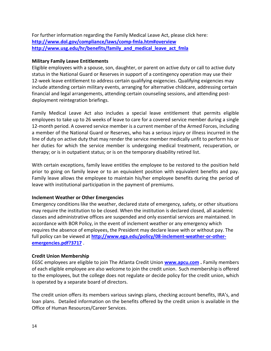For further information regarding the Family Medical Leave Act, please click here: **<http://www.dol.gov/compliance/laws/comp-fmla.htm#overview> [http://www.usg.edu/hr/benefits/family\\_and\\_medical\\_leave\\_act\\_fmla](http://www.usg.edu/hr/benefits/family_and_medical_leave_act_fmla)**

#### **Military Family Leave Entitlements**

Eligible employees with a spouse, son, daughter, or parent on active duty or call to active duty status in the National Guard or Reserves in support of a contingency operation may use their 12-week leave entitlement to address certain qualifying exigencies. Qualifying exigencies may include attending certain military events, arranging for alternative childcare, addressing certain financial and legal arrangements, attending certain counseling sessions, and attending postdeployment reintegration briefings.

Family Medical Leave Act also includes a special leave entitlement that permits eligible employees to take up to 26 weeks of leave to care for a covered service member during a single 12-month period. A covered service member is a current member of the Armed Forces, including a member of the National Guard or Reserves, who has a serious injury or illness incurred in the line of duty on active duty that may render the service member medically unfit to perform his or her duties for which the service member is undergoing medical treatment, recuperation, or therapy; or is in outpatient status; or is on the temporary disability retired list.

With certain exceptions, family leave entitles the employee to be restored to the position held prior to going on family leave or to an equivalent position with equivalent benefits and pay. Family leave allows the employee to maintain his/her employee benefits during the period of leave with institutional participation in the payment of premiums.

#### **Inclement Weather or Other Emergencies**

Emergency conditions like the weather, declared state of emergency, safety, or other situations may require the institution to be closed. When the institution is declared closed, all academic classes and administrative offices are suspended and only essential services are maintained. In accordance with BOR Policy, in the event of inclement weather or any emergency which requires the absence of employees, the President may declare leave with or without pay. The full policy can be viewed at **[http://www.ega.edu/policy/08-inclement-weather-or-other](http://www.ega.edu/policy/08-inclement-weather-or-other-emergencies.pdf?3717)[emergencies.pdf?3717](http://www.ega.edu/policy/08-inclement-weather-or-other-emergencies.pdf?3717)** .

# **Credit Union Membership**

EGSC employees are eligible to join The Atlanta Credit Union **[www.apcu.com](http://www.apcu.com/) .** Family members of each eligible employee are also welcome to join the credit union. Such membership is offered to the employees, but the college does not regulate or decide policy for the credit union, which is operated by a separate board of directors.

The credit union offers its members various savings plans, checking account benefits, IRA's, and loan plans. Detailed information on the benefits offered by the credit union is available in the Office of Human Resources/Career Services.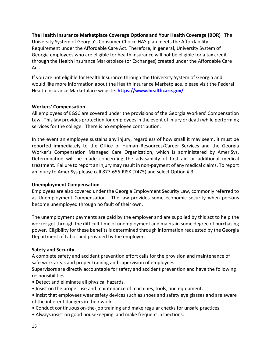# **The Health Insurance Marketplace Coverage Options and Your Health Coverage (BOR)** The

University System of Georgia's Consumer Choice HAS plan meets the Affordability Requirement under the Affordable Care Act. Therefore, in general, University System of Georgia employees who are eligible for health insurance will not be eligible for a tax credit through the Health Insurance Marketplace (or Exchanges) created under the Affordable Care Act.

If you are not eligible for Health Insurance through the University System of Georgia and would like more information about the Health Insurance Marketplace, please visit the Federal Health Insurance Marketplace website: **<https://www.healthcare.gov/>**

# **Workers' Compensation**

All employees of EGSC are covered under the provisions of the Georgia Workers' Compensation Law. This law provides protection for employees in the event of injury or death while performing services for the college. There is no employee contribution.

In the event an employee sustains any injury, regardless of how small it may seem, it must be reported immediately to the Office of Human Resources/Career Services and the Georgia Worker's Compensation Managed Care Organization, which is administered by AmeriSys. Determination will be made concerning the advisability of first aid or additional medical treatment. Failure to report an injury may result in non-payment of any medical claims. To report an injury to AmeriSys please call 877-656-RISK (7475) and select Option # 3.

#### **Unemployment Compensation**

Employees are also covered under the Georgia Employment Security Law, commonly referred to as Unemployment Compensation. The law provides some economic security when persons become unemployed through no fault of their own.

The unemployment payments are paid by the employer and are supplied by this act to help the worker get through the difficult time of unemployment and maintain some degree of purchasing power. Eligibility for these benefits is determined through information requested by the Georgia Department of Labor and provided by the employer.

#### **Safety and Security**

A complete safety and accident prevention effort calls for the provision and maintenance of safe work areas and proper training and supervision of employees.

Supervisors are directly accountable for safety and accident prevention and have the following responsibilities:

- Detect and eliminate all physical hazards.
- Insist on the proper use and maintenance of machines, tools, and equipment.
- Insist that employees wear safety devices such as shoes and safety eye glasses and are aware of the inherent dangers in their work.
- Conduct continuous on-the-job training and make regular checks for unsafe practices
- Always insist on good housekeeping and make frequent inspections.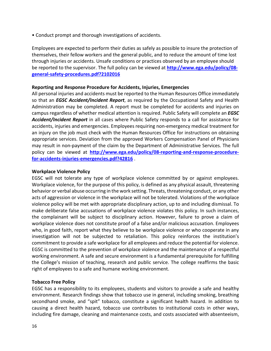• Conduct prompt and thorough investigations of accidents.

Employees are expected to perform their duties as safely as possible to insure the protection of themselves, their fellow workers and the general public, and to reduce the amount of time lost through injuries or accidents. Unsafe conditions or practices observed by an employee should be reported to the supervisor. The full policy can be viewed at **[http://www.ega.edu/policy/08](http://www.ega.edu/policy/08-general-safety-procedures.pdf?2102016) [general-safety-procedures.pdf?2102016](http://www.ega.edu/policy/08-general-safety-procedures.pdf?2102016)**

#### **Reporting and Response Procedure for Accidents, Injuries, Emergencies**

All personal injuries and accidents must be reported to the Human Resources Office immediately so that an *EGSC Accident/Incident Report*, as required by the Occupational Safety and Health Administration may be completed. A report must be completed for accidents and injuries on campus regardless of whether medical attention is required. Public Safety will complete an *EGSC Accident/Incident Report* in all cases where Public Safety responds to a call for assistance for accidents, injuries and emergencies. Employees requiring non-emergency medical treatment for an injury on the job must check with the Human Resources Office for instructions on obtaining appropriate services. Deviation from the approved Workers Compensation Panel of Physicians may result in non-payment of the claim by the Department of Administrative Services. The full policy can be viewed at **[http://www.ega.edu/policy/08-reporting-and-response-procedure](http://www.ega.edu/policy/08-reporting-and-response-procedure-for-accidents-injuries-emergencies.pdf?42816)[for-accidents-injuries-emergencies.pdf?42816](http://www.ega.edu/policy/08-reporting-and-response-procedure-for-accidents-injuries-emergencies.pdf?42816)** .

#### **Workplace Violence Policy**

EGSC will not tolerate any type of workplace violence committed by or against employees. Workplace violence, for the purpose of this policy, is defined as any physical assault, threatening behavior or verbal abuse occurring in the work setting. Threats, threatening conduct, or any other acts of aggression or violence in the workplace will not be tolerated. Violations of the workplace violence policy will be met with appropriate disciplinary action, up to and including dismissal. To make deliberate false accusations of workplace violence violates this policy. In such instances, the complainant will be subject to disciplinary action. However, failure to prove a claim of workplace violence does not constitute proof of a false and/or malicious accusation. Employees who, in good faith, report what they believe to be workplace violence or who cooperate in any investigation will not be subjected to retaliation. This policy reinforces the institution's commitment to provide a safe workplace for all employees and reduce the potential for violence. EGSC is committed to the prevention of workplace violence and the maintenance of a respectful working environment. A safe and secure environment is a fundamental prerequisite for fulfilling the College's mission of teaching, research and public service. The college reaffirms the basic right of employees to a safe and humane working environment.

#### **Tobacco Free Policy**

EGSC has a responsibility to its employees, students and visitors to provide a safe and healthy environment. Research findings show that tobacco use in general, including smoking, breathing secondhand smoke, and "spit" tobacco, constitute a significant health hazard. In addition to causing a direct health hazard, tobacco use contributes to institutional costs in other ways, including fire damage, cleaning and maintenance costs, and costs associated with absenteeism,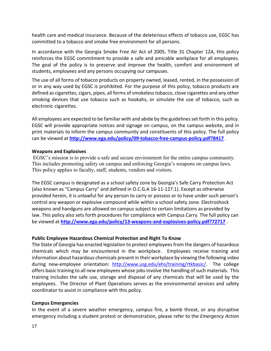health care and medical insurance. Because of the deleterious effects of tobacco use, EGSC has committed to a tobacco and smoke free environment for all persons.

In accordance with the Georgia Smoke Free Air Act of 2005, Title 31 Chapter 12A, this policy reinforces the EGSC commitment to provide a safe and amicable workplace for all employees. The goal of the policy is to preserve and improve the health, comfort and environment of students, employees and any persons occupying our campuses.

The use of all forms of tobacco products on property owned, leased, rented, in the possession of or in any way used by EGSC is prohibited. For the purpose of this policy, tobacco products are defined as cigarettes, cigars, pipes, all forms of smokeless tobacco, clove cigarettes and any other smoking devices that use tobacco such as hookahs, or simulate the use of tobacco, such as electronic cigarettes.

All employees are expected to be familiar with and abide by the guidelines set forth in this policy. EGSC will provide appropriate notices and signage on campus, on the campus website, and in print materials to inform the campus community and constituents of this policy. The full policy can be viewed at **<http://www.ega.edu/policy/09-tobacco-free-campus-policy.pdf?8417>** .

# **Weapons and Explosives**

EGSC's mission is to provide a safe and secure environment for the entire campus community. This includes promoting safety on campus and enforcing Georgia's weapons on campus laws. This policy applies to faculty, staff, students, vendors and visitors.

The EGSC campus is designated as a school safety zone by Georgia's Safe Carry Protection Act (also known as "Campus Carry" and defined in O.C.G.A 16-11-127.1). Except as otherwise provided herein, it is unlawful for any person to carry or possess or to have under such person's control any weapon or explosive compound while within a school safety zone. Electroshock weapons and handguns are allowed on campus subject to certain limitations as provided by law. This policy also sets forth procedures for compliance with Campus Carry. The full policy can be viewed at **<http://www.ega.edu/policy/13-weapons-and-explosives-policy.pdf?72717>** .

# **Public Employee Hazardous Chemical Protection and Right To Know**

The State of Georgia has enacted legislation to protect employees from the dangers of hazardous chemicals which may be encountered in the workplace. Employees receive training and information about hazardous chemicals present in their workplace by viewing the following video during new-employee orientation: [http://www.usg.edu/ehs/training/rtkbasic/.](http://www.usg.edu/ehs/training/rtkbasic/) The college offers basic training to all new employees whose jobs involve the handling of such materials. This training includes the safe use, storage and disposal of any chemicals that will be used by the employees. The Director of Plant Operations serves as the environmental services and safety coordinator to assist in compliance with this policy.

#### **Campus Emergencies**

In the event of a severe weather emergency, campus fire, a bomb threat, or any disruptive emergency including a student protest or demonstration, please refer to the *Emergency Action*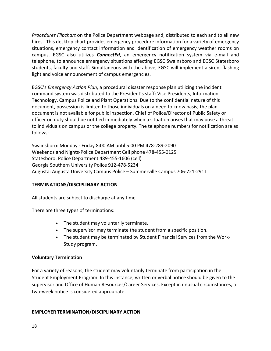*Procedures Flipchart* on the Police Department webpage and, distributed to each and to all new hires. This desktop chart provides emergency procedure information for a variety of emergency situations, emergency contact information and identification of emergency weather rooms on campus. EGSC also utilizes *ConnectEd*, an emergency notification system via e-mail and telephone, to announce emergency situations affecting EGSC Swainsboro and EGSC Statesboro students, faculty and staff. Simultaneous with the above, EGSC will implement a siren, flashing light and voice announcement of campus emergencies.

EGSC's *Emergency Action Plan*, a procedural disaster response plan utilizing the incident command system was distributed to the President's staff: Vice Presidents, Information Technology, Campus Police and Plant Operations. Due to the confidential nature of this document, possession is limited to those individuals on a need to know basis; the plan document is not available for public inspection. Chief of Police/Director of Public Safety or officer on duty should be notified immediately when a situation arises that may pose a threat to individuals on campus or the college property. The telephone numbers for notification are as follows:

Swainsboro: Monday - Friday 8:00 AM until 5:00 PM 478-289-2090 Weekends and Nights-Police Department Cell phone 478-455-0125 Statesboro: Police Department 489-455-1606 (cell) Georgia Southern University Police 912-478-5234 Augusta: Augusta University Campus Police – Summerville Campus 706-721-2911

# **TERMINATIONS/DISCIPLINARY ACTION**

All students are subject to discharge at any time.

There are three types of terminations:

- The student may voluntarily terminate.
- The supervisor may terminate the student from a specific position.
- The student may be terminated by Student Financial Services from the Work-Study program.

# **Voluntary Termination**

For a variety of reasons, the student may voluntarily terminate from participation in the Student Employment Program. In this instance, written or verbal notice should be given to the supervisor and Office of Human Resources/Career Services. Except in unusual circumstances, a two-week notice is considered appropriate.

# **EMPLOYER TERMINATION/DISCIPLINARY ACTION**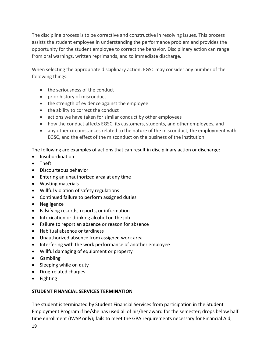The discipline process is to be corrective and constructive in resolving issues. This process assists the student employee in understanding the performance problem and provides the opportunity for the student employee to correct the behavior. Disciplinary action can range from oral warnings, written reprimands, and to immediate discharge.

When selecting the appropriate disciplinary action, EGSC may consider any number of the following things:

- the seriousness of the conduct
- prior history of misconduct
- the strength of evidence against the employee
- the ability to correct the conduct
- actions we have taken for similar conduct by other employees
- how the conduct affects EGSC, its customers, students, and other employees, and
- any other circumstances related to the nature of the misconduct, the employment with EGSC, and the effect of the misconduct on the business of the institution.

The following are examples of actions that can result in disciplinary action or discharge:

- Insubordination
- Theft
- Discourteous behavior
- Entering an unauthorized area at any time
- Wasting materials
- Willful violation of safety regulations
- Continued failure to perform assigned duties
- Negligence
- Falsifying records, reports, or information
- Intoxication or drinking alcohol on the job
- Failure to report an absence or reason for absence
- Habitual absence or tardiness
- Unauthorized absence from assigned work area
- Interfering with the work performance of another employee
- Willful damaging of equipment or property
- Gambling
- Sleeping while on duty
- Drug-related charges
- Fighting

# **STUDENT FINANCIAL SERVICES TERMINATION**

The student is terminated by Student Financial Services from participation in the Student Employment Program if he/she has used all of his/her award for the semester; drops below half time enrollment (IWSP only); fails to meet the GPA requirements necessary for Financial Aid;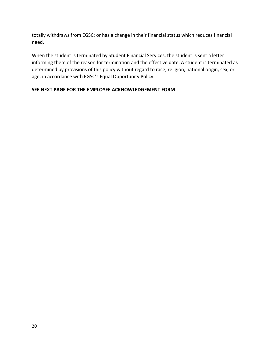totally withdraws from EGSC; or has a change in their financial status which reduces financial need.

When the student is terminated by Student Financial Services, the student is sent a letter informing them of the reason for termination and the effective date. A student is terminated as determined by provisions of this policy without regard to race, religion, national origin, sex, or age, in accordance with EGSC's Equal Opportunity Policy.

# **SEE NEXT PAGE FOR THE EMPLOYEE ACKNOWLEDGEMENT FORM**